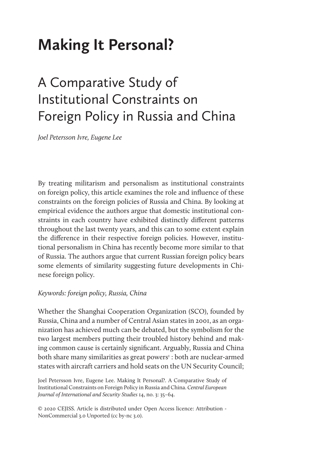# **Making It Personal?**

# A Comparative Study of Institutional Constraints on Foreign Policy in Russia and China

*Joel Petersson Ivre, Eugene Lee*

By treating militarism and personalism as institutional constraints on foreign policy, this article examines the role and influence of these constraints on the foreign policies of Russia and China. By looking at empirical evidence the authors argue that domestic institutional constraints in each country have exhibited distinctly different patterns throughout the last twenty years, and this can to some extent explain the difference in their respective foreign policies. However, institutional personalism in China has recently become more similar to that of Russia. The authors argue that current Russian foreign policy bears some elements of similarity suggesting future developments in Chinese foreign policy.

# *Keywords: foreign policy, Russia, China*

Whether the Shanghai Cooperation Organization (SCO), founded by Russia, China and a number of Central Asian states in 2001, as an organization has achieved much can be debated, but the symbolism for the two largest members putting their troubled history behind and making common cause is certainly significant. Arguably, Russia and China both share many similarities as great powers<sup>1</sup> : both are nuclear-armed states with aircraft carriers and hold seats on the UN Security Council;

Joel Petersson Ivre, Eugene Lee. Making It Personal?. A Comparative Study of Institutional Constraints on Foreign Policy in Russia and China. *Central European Journal of International and Security Studies* 14, no. 3: 35–64.

© 2020 CEJISS. Article is distributed under Open Access licence: Attribution - NonCommercial 3.0 Unported (cc by-nc 3.0).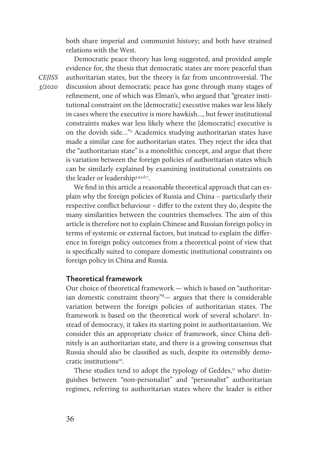both share imperial and communist history; and both have strained relations with the West.

Democratic peace theory has long suggested, and provided ample evidence for, the thesis that democratic states are more peaceful than authoritarian states, but the theory is far from uncontroversial. The discussion about democratic peace has gone through many stages of refinement, one of which was Elman's, who argued that "greater institutional constraint on the [democratic] executive makes war less likely in cases where the executive is more hawkish…, but fewer institutional constraints makes war less likely where the [democratic] executive is on the dovish side..."<sup>2</sup> Academics studying authoritarian states have made a similar case for authoritarian states. They reject the idea that the "authoritarian state" is a monolithic concept, and argue that there is variation between the foreign policies of authoritarian states which can be similarly explained by examining institutional constraints on the leader or leadership3,4,5,6,7.

We find in this article a reasonable theoretical approach that can explain why the foreign policies of Russia and China – particularly their respective conflict behaviour – differ to the extent they do, despite the many similarities between the countries themselves. The aim of this article is therefore not to explain Chinese and Russian foreign policy in terms of systemic or external factors, but instead to explain the difference in foreign policy outcomes from a theoretical point of view that is specifically suited to compare domestic institutional constraints on foreign policy in China and Russia.

# **Theoretical framework**

Our choice of theoretical framework — which is based on "authoritarian domestic constraint theory"8 — argues that there is considerable variation between the foreign policies of authoritarian states. The framework is based on the theoretical work of several scholars<sup>9</sup>. Instead of democracy, it takes its starting point in authoritarianism. We consider this an appropriate choice of framework, since China definitely is an authoritarian state, and there is a growing consensus that Russia should also be classified as such, despite its ostensibly democratic institutions<sup>10</sup>.

These studies tend to adopt the typology of Geddes, $\pi$  who distinguishes between "non-personalist" and "personalist" authoritarian regimes, referring to authoritarian states where the leader is either

*CEJISS 3/2020*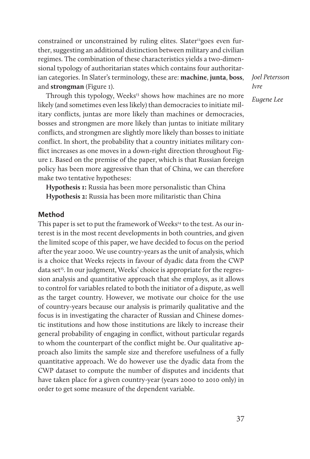constrained or unconstrained by ruling elites. Slater<sup>12</sup>goes even further, suggesting an additional distinction between military and civilian regimes. The combination of these characteristics yields a two-dimensional typology of authoritarian states which contains four authoritarian categories. In Slater's terminology, these are: **machine**, **junta**, **boss**, and **strongman** (Figure 1).

Through this typology, Weeks<sup>13</sup> shows how machines are no more likely (and sometimes even less likely) than democracies to initiate military conflicts, juntas are more likely than machines or democracies, bosses and strongmen are more likely than juntas to initiate military conflicts, and strongmen are slightly more likely than bosses to initiate conflict. In short, the probability that a country initiates military conflict increases as one moves in a down-right direction throughout Figure 1. Based on the premise of the paper, which is that Russian foreign policy has been more aggressive than that of China, we can therefore make two tentative hypotheses:

**Hypothesis 1:** Russia has been more personalistic than China **Hypothesis 2:** Russia has been more militaristic than China

# **Method**

This paper is set to put the framework of Weeks<sup>14</sup> to the test. As our interest is in the most recent developments in both countries, and given the limited scope of this paper, we have decided to focus on the period after the year 2000. We use country-years as the unit of analysis, which is a choice that Weeks rejects in favour of dyadic data from the CWP data set<sup>15</sup>. In our judgment, Weeks' choice is appropriate for the regression analysis and quantitative approach that she employs, as it allows to control for variables related to both the initiator of a dispute, as well as the target country. However, we motivate our choice for the use of country-years because our analysis is primarily qualitative and the focus is in investigating the character of Russian and Chinese domestic institutions and how those institutions are likely to increase their general probability of engaging in conflict, without particular regards to whom the counterpart of the conflict might be. Our qualitative approach also limits the sample size and therefore usefulness of a fully quantitative approach. We do however use the dyadic data from the CWP dataset to compute the number of disputes and incidents that have taken place for a given country-year (years 2000 to 2010 only) in order to get some measure of the dependent variable.

*Joel Petersson Ivre Eugene Lee*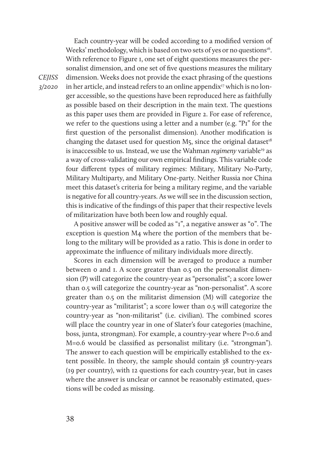Each country-year will be coded according to a modified version of Weeks' methodology, which is based on two sets of yes or no questions<sup>16</sup>. With reference to Figure 1, one set of eight questions measures the personalist dimension, and one set of five questions measures the military dimension. Weeks does not provide the exact phrasing of the questions in her article, and instead refers to an online appendix<sup>17</sup> which is no longer accessible, so the questions have been reproduced here as faithfully as possible based on their description in the main text. The questions as this paper uses them are provided in Figure 2. For ease of reference, we refer to the questions using a letter and a number (e.g. "P1" for the first question of the personalist dimension). Another modification is changing the dataset used for question  $M_5$ , since the original dataset<sup>18</sup> is inaccessible to us. Instead, we use the Wahman *regimeny* variable<sup>19</sup> as a way of cross-validating our own empirical findings. This variable code four different types of military regimes: Military, Military No-Party, Military Multiparty, and Military One-party. Neither Russia nor China meet this dataset's criteria for being a military regime, and the variable is negative for all country-years. As we will see in the discussion section, this is indicative of the findings of this paper that their respective levels of militarization have both been low and roughly equal.

A positive answer will be coded as "1", a negative answer as "0". The exception is question M4 where the portion of the members that belong to the military will be provided as a ratio. This is done in order to approximate the influence of military individuals more directly.

Scores in each dimension will be averaged to produce a number between 0 and 1. A score greater than 0.5 on the personalist dimension (P) will categorize the country-year as "personalist"; a score lower than 0.5 will categorize the country-year as "non-personalist". A score greater than 0.5 on the militarist dimension (M) will categorize the country-year as "militarist"; a score lower than 0.5 will categorize the country-year as "non-militarist" (i.e. civilian). The combined scores will place the country year in one of Slater's four categories (machine, boss, junta, strongman). For example, a country-year where P=0.6 and M=0.6 would be classified as personalist military (i.e. "strongman"). The answer to each question will be empirically established to the extent possible. In theory, the sample should contain 38 country-years (19 per country), with 12 questions for each country-year, but in cases where the answer is unclear or cannot be reasonably estimated, questions will be coded as missing.

*CEJISS 3/2020*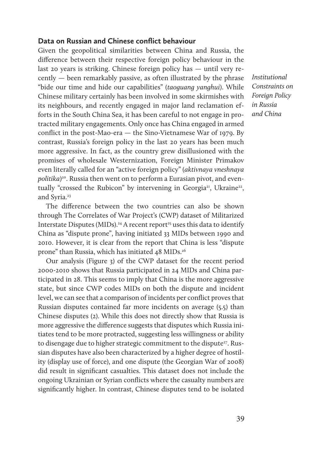# **Data on Russian and Chinese conflict behaviour**

Given the geopolitical similarities between China and Russia, the difference between their respective foreign policy behaviour in the last 20 years is striking. Chinese foreign policy has — until very recently — been remarkably passive, as often illustrated by the phrase "bide our time and hide our capabilities" (*taoguang yanghui*). While Chinese military certainly has been involved in some skirmishes with its neighbours, and recently engaged in major land reclamation efforts in the South China Sea, it has been careful to not engage in protracted military engagements. Only once has China engaged in armed conflict in the post-Mao-era — the Sino-Vietnamese War of 1979. By contrast, Russia's foreign policy in the last 20 years has been much more aggressive. In fact, as the country grew disillusioned with the promises of wholesale Westernization, Foreign Minister Primakov even literally called for an "active foreign policy" (*aktivnaya vneshnaya politika*) 20. Russia then went on to perform a Eurasian pivot, and eventually "crossed the Rubicon" by intervening in Georgia<sup>21</sup>, Ukraine<sup>22</sup>, and Syria.<sup>23</sup>

The difference between the two countries can also be shown through The Correlates of War Project's (CWP) dataset of Militarized Interstate Disputes (MIDs).<sup>24</sup> A recent report<sup>25</sup> uses this data to identify China as "dispute prone", having initiated 33 MIDs between 1990 and 2010. However, it is clear from the report that China is less "dispute prone" than Russia, which has initiated 48 MIDs.<sup>26</sup>

Our analysis (Figure 3) of the CWP dataset for the recent period 2000-2010 shows that Russia participated in 24 MIDs and China participated in 28. This seems to imply that China is the more aggressive state, but since CWP codes MIDs on both the dispute and incident level, we can see that a comparison of incidents per conflict proves that Russian disputes contained far more incidents on average (5.5) than Chinese disputes (2). While this does not directly show that Russia is more aggressive the difference suggests that disputes which Russia initiates tend to be more protracted, suggesting less willingness or ability to disengage due to higher strategic commitment to the dispute<sup>27</sup>. Russian disputes have also been characterized by a higher degree of hostility (display use of force), and one dispute (the Georgian War of 2008) did result in significant casualties. This dataset does not include the ongoing Ukrainian or Syrian conflicts where the casualty numbers are significantly higher. In contrast, Chinese disputes tend to be isolated *Institutional Constraints on Foreign Policy in Russia and China*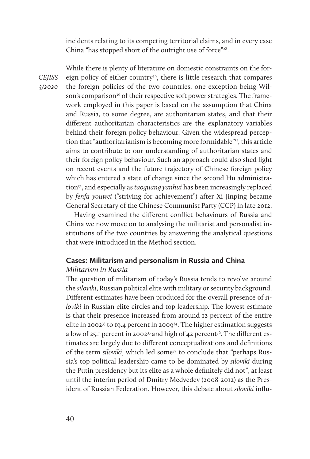incidents relating to its competing territorial claims, and in every case China "has stopped short of the outright use of force"<sup>28</sup>.

*CEJISS 3/2020* 

While there is plenty of literature on domestic constraints on the foreign policy of either country<sup>29</sup>, there is little research that compares the foreign policies of the two countries, one exception being Wilson's comparison<sup>30</sup> of their respective soft power strategies. The framework employed in this paper is based on the assumption that China and Russia, to some degree, are authoritarian states, and that their different authoritarian characteristics are the explanatory variables behind their foreign policy behaviour. Given the widespread perception that "authoritarianism is becoming more formidable"31, this article aims to contribute to our understanding of authoritarian states and their foreign policy behaviour. Such an approach could also shed light on recent events and the future trajectory of Chinese foreign policy which has entered a state of change since the second Hu administration<sup>32</sup>, and especially as *taoguang yanhui* has been increasingly replaced by *fenfa youwei* ("striving for achievement") after Xi Jinping became General Secretary of the Chinese Communist Party (CCP) in late 2012.

Having examined the different conflict behaviours of Russia and China we now move on to analysing the militarist and personalist institutions of the two countries by answering the analytical questions that were introduced in the Method section.

# **Cases: Militarism and personalism in Russia and China**

# *Militarism in Russia*

The question of militarism of today's Russia tends to revolve around the *siloviki*, Russian political elite with military or security background. Different estimates have been produced for the overall presence of *siloviki* in Russian elite circles and top leadership. The lowest estimate is that their presence increased from around 12 percent of the entire elite in 2002<sup>33</sup> to 19.4 percent in 2009<sup>34</sup>. The higher estimation suggests a low of 25.1 percent in 2002<sup>35</sup> and high of 42 percent<sup>36</sup>. The different estimates are largely due to different conceptualizations and definitions of the term *siloviki*, which led some<sup>37</sup> to conclude that "perhaps Russia's top political leadership came to be dominated by *siloviki* during the Putin presidency but its elite as a whole definitely did not", at least until the interim period of Dmitry Medvedev (2008-2012) as the President of Russian Federation. However, this debate about *siloviki* influ-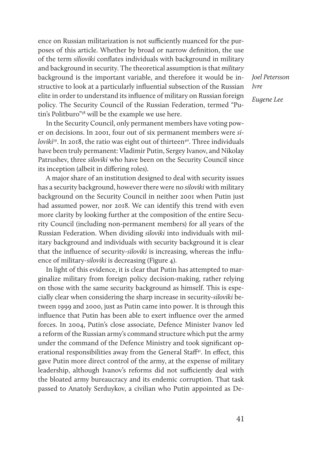ence on Russian militarization is not sufficiently nuanced for the purposes of this article. Whether by broad or narrow definition, the use of the term *silioviki* conflates individuals with background in military and background in security. The theoretical assumption is that *military* background is the important variable, and therefore it would be instructive to look at a particularly influential subsection of the Russian elite in order to understand its influence of military on Russian foreign policy. The Security Council of the Russian Federation, termed "Putin's Politburo"38 will be the example we use here.

In the Security Council, only permanent members have voting power on decisions. In 2001, four out of six permanent members were *siloviki<sup>39</sup>*. In 2018, the ratio was eight out of thirteen<sup>40</sup>. Three individuals have been truly permanent: Vladimir Putin, Sergey Ivanov, and Nikolay Patrushev, three *siloviki* who have been on the Security Council since its inception (albeit in differing roles).

A major share of an institution designed to deal with security issues has a security background, however there were no *siloviki* with military background on the Security Council in neither 2001 when Putin just had assumed power, nor 2018. We can identify this trend with even more clarity by looking further at the composition of the entire Security Council (including non-permanent members) for all years of the Russian Federation. When dividing *siloviki* into individuals with military background and individuals with security background it is clear that the influence of security-*siloviki* is increasing, whereas the influence of military-*siloviki* is decreasing (Figure 4).

In light of this evidence, it is clear that Putin has attempted to marginalize military from foreign policy decision-making, rather relying on those with the same security background as himself. This is especially clear when considering the sharp increase in security-*siloviki* between 1999 and 2000, just as Putin came into power. It is through this influence that Putin has been able to exert influence over the armed forces. In 2004, Putin's close associate, Defence Minister Ivanov led a reform of the Russian army's command structure which put the army under the command of the Defence Ministry and took significant operational responsibilities away from the General Staff<sup>41</sup>. In effect, this gave Putin more direct control of the army, at the expense of military leadership, although Ivanov's reforms did not sufficiently deal with the bloated army bureaucracy and its endemic corruption. That task passed to Anatoly Serduykov, a civilian who Putin appointed as De*Joel Petersson Ivre Eugene Lee*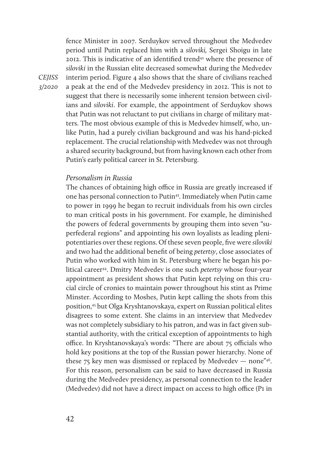fence Minister in 2007. Serduykov served throughout the Medvedev period until Putin replaced him with a *siloviki,* Sergei Shoigu in late 2012. This is indicative of an identified trend<sup>42</sup> where the presence of *siloviki* in the Russian elite decreased somewhat during the Medvedev interim period. Figure 4 also shows that the share of civilians reached a peak at the end of the Medvedev presidency in 2012. This is not to suggest that there is necessarily some inherent tension between civilians and *siloviki*. For example, the appointment of Serduykov shows that Putin was not reluctant to put civilians in charge of military matters. The most obvious example of this is Medvedev himself, who, unlike Putin, had a purely civilian background and was his hand-picked replacement. The crucial relationship with Medvedev was not through a shared security background, but from having known each other from Putin's early political career in St. Petersburg.

# *Personalism in Russia*

The chances of obtaining high office in Russia are greatly increased if one has personal connection to Putin<sup>43</sup>. Immediately when Putin came to power in 1999 he began to recruit individuals from his own circles to man critical posts in his government. For example, he diminished the powers of federal governments by grouping them into seven "superfederal regions" and appointing his own loyalists as leading plenipotentiaries over these regions. Of these seven people, five were *siloviki* and two had the additional benefit of being *petertsy*, close associates of Putin who worked with him in St. Petersburg where he began his political career<sup>44</sup>. Dmitry Medvedev is one such *petertsy* whose four-year appointment as president shows that Putin kept relying on this crucial circle of cronies to maintain power throughout his stint as Prime Minster. According to Moshes, Putin kept calling the shots from this position,45 but Olga Kryshtanovskaya, expert on Russian political elites disagrees to some extent. She claims in an interview that Medvedev was not completely subsidiary to his patron, and was in fact given substantial authority, with the critical exception of appointments to high office. In Kryshtanovskaya's words: "There are about 75 officials who hold key positions at the top of the Russian power hierarchy. None of these 75 key men was dismissed or replaced by Medvedev — none"<sup>46</sup>. For this reason, personalism can be said to have decreased in Russia during the Medvedev presidency, as personal connection to the leader (Medvedev) did not have a direct impact on access to high office (PI in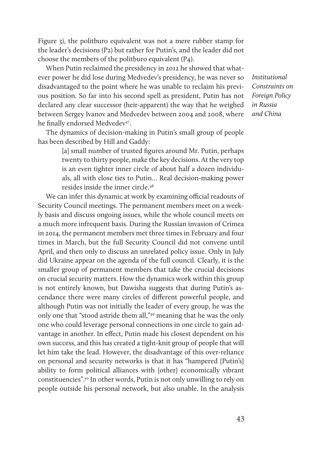Figure 3), the politburo equivalent was not a mere rubber stamp for the leader's decisions (P2) but rather for Putin's, and the leader did not choose the members of the politburo equivalent (P4).

When Putin reclaimed the presidency in 2012 he showed that whatever power he did lose during Medvedev's presidency, he was never so disadvantaged to the point where he was unable to reclaim his previous position. So far into his second spell as president, Putin has not declared any clear successor (heir-apparent) the way that he weighed between Sergey Ivanov and Medvedev between 2004 and 2008, where he finally endorsed Medvedev<sup>47</sup>.

The dynamics of decision-making in Putin's small group of people has been described by Hill and Gaddy:

> [a] small number of trusted figures around Mr. Putin, perhaps twenty to thirty people, make the key decisions. At the very top is an even tighter inner circle of about half a dozen individuals, all with close ties to Putin… Real decision-making power resides inside the inner circle.48

We can infer this dynamic at work by examining official readouts of Security Council meetings. The permanent members meet on a weekly basis and discuss ongoing issues, while the whole council meets on a much more infrequent basis. During the Russian invasion of Crimea in 2014, the permanent members met three times in February and four times in March, but the full Security Council did not convene until April, and then only to discuss an unrelated policy issue. Only in July did Ukraine appear on the agenda of the full council. Clearly, it is the smaller group of permanent members that take the crucial decisions on crucial security matters. How the dynamics work within this group is not entirely known, but Dawisha suggests that during Putin's ascendance there were many circles of different powerful people, and although Putin was not initially the leader of every group, he was the only one that "stood astride them all,"49 meaning that he was the only one who could leverage personal connections in one circle to gain advantage in another. In effect, Putin made his closest dependent on his own success, and this has created a tight-knit group of people that will let him take the lead. However, the disadvantage of this over-reliance on personal and security networks is that it has "hampered [Putin's] ability to form political alliances with [other] economically vibrant constituencies".50 In other words, Putin is not only unwilling to rely on people outside his personal network, but also unable. In the analysis

*Institutional Constraints on Foreign Policy in Russia and China*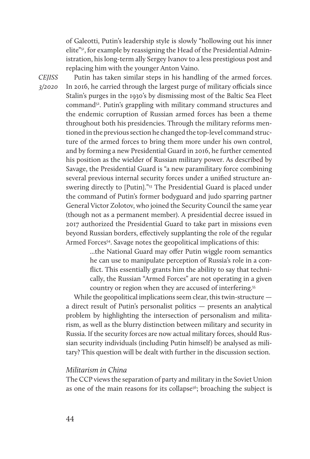of Galeotti, Putin's leadership style is slowly "hollowing out his inner elite"51, for example by reassigning the Head of the Presidential Administration, his long-term ally Sergey Ivanov to a less prestigious post and replacing him with the younger Anton Vaino.

*CEJISS 3/2020* 

Putin has taken similar steps in his handling of the armed forces. In 2016, he carried through the largest purge of military officials since Stalin's purges in the 1930's by dismissing most of the Baltic Sea Fleet command52. Putin's grappling with military command structures and the endemic corruption of Russian armed forces has been a theme throughout both his presidencies. Through the military reforms mentioned in the previous section he changed the top-level command structure of the armed forces to bring them more under his own control, and by forming a new Presidential Guard in 2016, he further cemented his position as the wielder of Russian military power. As described by Savage, the Presidential Guard is "a new paramilitary force combining several previous internal security forces under a unified structure answering directly to [Putin]."<sup>53</sup> The Presidential Guard is placed under the command of Putin's former bodyguard and judo sparring partner General Victor Zolotov, who joined the Security Council the same year (though not as a permanent member). A presidential decree issued in 2017 authorized the Presidential Guard to take part in missions even beyond Russian borders, effectively supplanting the role of the regular Armed Forces<sup>54</sup>. Savage notes the geopolitical implications of this:

> ...the National Guard may offer Putin wiggle room semantics he can use to manipulate perception of Russia's role in a conflict. This essentially grants him the ability to say that technically, the Russian "Armed Forces" are not operating in a given country or region when they are accused of interfering.55

While the geopolitical implications seem clear, this twin-structure a direct result of Putin's personalist politics — presents an analytical problem by highlighting the intersection of personalism and militarism, as well as the blurry distinction between military and security in Russia. If the security forces are now actual military forces, should Russian security individuals (including Putin himself) be analysed as military? This question will be dealt with further in the discussion section.

### *Militarism in China*

The CCP views the separation of party and military in the Soviet Union as one of the main reasons for its collapse<sup>56</sup>; broaching the subject is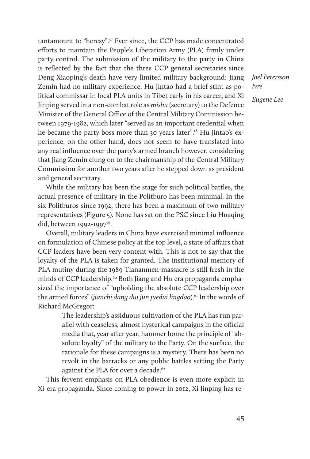tantamount to "heresy".57 Ever since, the CCP has made concentrated efforts to maintain the People's Liberation Army (PLA) firmly under party control. The submission of the military to the party in China is reflected by the fact that the three CCP general secretaries since Deng Xiaoping's death have very limited military background: Jiang Zemin had no military experience, Hu Jintao had a brief stint as political commissar in local PLA units in Tibet early in his career, and Xi Jinping served in a non-combat role as *mishu* (secretary) to the Defence Minister of the General Office of the Central Military Commission between 1979-1982, which later "served as an important credential when he became the party boss more than 30 years later".58 Hu Jintao's experience, on the other hand, does not seem to have translated into any real influence over the party's armed branch however, considering that Jiang Zemin clung on to the chairmanship of the Central Military Commission for another two years after he stepped down as president and general secretary.

While the military has been the stage for such political battles, the actual presence of military in the Politburo has been minimal. In the six Politburos since 1992, there has been a maximum of two military representatives (Figure 5). None has sat on the PSC since Liu Huaqing did, between 1992-1997<sup>59</sup>.

Overall, military leaders in China have exercised minimal influence on formulation of Chinese policy at the top level, a state of affairs that CCP leaders have been very content with. This is not to say that the loyalty of the PLA is taken for granted. The institutional memory of PLA mutiny during the 1989 Tiananmen-massacre is still fresh in the minds of CCP leadership.<sup>60</sup> Both Jiang and Hu era propaganda emphasized the importance of "upholding the absolute CCP leadership over the armed forces" (*jianchi dang dui jun juedui lingdao*).<sup>61</sup> In the words of Richard McGregor:

> The leadership's assiduous cultivation of the PLA has run parallel with ceaseless, almost hysterical campaigns in the official media that, year after year, hammer home the principle of "absolute loyalty" of the military to the Party. On the surface, the rationale for these campaigns is a mystery. There has been no revolt in the barracks or any public battles setting the Party against the PLA for over a decade.<sup>62</sup>

This fervent emphasis on PLA obedience is even more explicit in Xi-era propaganda. Since coming to power in 2012, Xi Jinping has re*Joel Petersson Ivre Eugene Lee*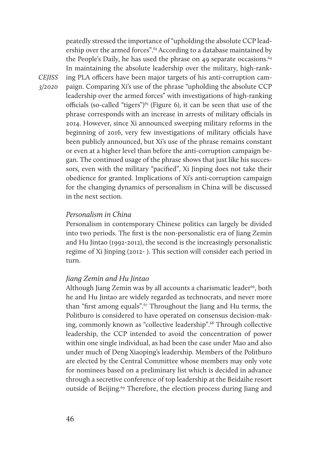peatedly stressed the importance of "upholding the absolute CCP leadership over the armed forces".63 According to a database maintained by the People's Daily, he has used the phrase on 49 separate occasions.<sup>64</sup> In maintaining the absolute leadership over the military, high-ranking PLA officers have been major targets of his anti-corruption campaign. Comparing Xi's use of the phrase "upholding the absolute CCP leadership over the armed forces" with investigations of high-ranking officials (so-called "tigers")<sup> $65$ </sup> (Figure 6), it can be seen that use of the phrase corresponds with an increase in arrests of military officials in 2014. However, since Xi announced sweeping military reforms in the beginning of 2016, very few investigations of military officials have been publicly announced, but Xi's use of the phrase remains constant or even at a higher level than before the anti-corruption campaign began. The continued usage of the phrase shows that just like his successors, even with the military "pacified", Xi Jinping does not take their obedience for granted. Implications of Xi's anti-corruption campaign for the changing dynamics of personalism in China will be discussed in the next section.

# *Personalism in China*

Personalism in contemporary Chinese politics can largely be divided into two periods. The first is the non-personalistic era of Jiang Zemin and Hu Jintao (1992-2012), the second is the increasingly personalistic regime of Xi Jinping (2012- ). This section will consider each period in turn.

#### *Jiang Zemin and Hu Jintao*

Although Jiang Zemin was by all accounts a charismatic leader<sup>66</sup>, both he and Hu Jintao are widely regarded as technocrats, and never more than "first among equals".67 Throughout the Jiang and Hu terms, the Politburo is considered to have operated on consensus decision-making, commonly known as "collective leadership".<sup>68</sup> Through collective leadership, the CCP intended to avoid the concentration of power within one single individual, as had been the case under Mao and also under much of Deng Xiaoping's leadership. Members of the Politburo are elected by the Central Committee whose members may only vote for nominees based on a preliminary list which is decided in advance through a secretive conference of top leadership at the Beidaihe resort outside of Beijing.<sup>69</sup> Therefore, the election process during Jiang and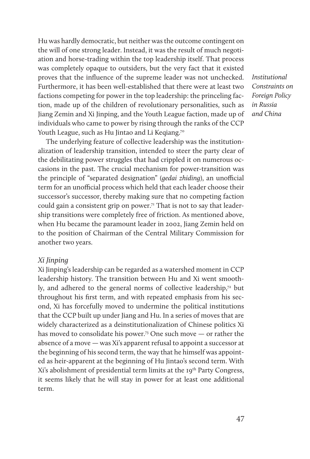Hu was hardly democratic, but neither was the outcome contingent on the will of one strong leader. Instead, it was the result of much negotiation and horse-trading within the top leadership itself. That process was completely opaque to outsiders, but the very fact that it existed proves that the influence of the supreme leader was not unchecked. Furthermore, it has been well-established that there were at least two factions competing for power in the top leadership: the princeling faction, made up of the children of revolutionary personalities, such as Jiang Zemin and Xi Jinping, and the Youth League faction, made up of individuals who came to power by rising through the ranks of the CCP Youth League, such as Hu Jintao and Li Keqiang.<sup>70</sup>

The underlying feature of collective leadership was the institutionalization of leadership transition, intended to steer the party clear of the debilitating power struggles that had crippled it on numerous occasions in the past. The crucial mechanism for power-transition was the principle of "separated designation" (*gedai zhiding*), an unofficial term for an unofficial process which held that each leader choose their successor's successor, thereby making sure that no competing faction could gain a consistent grip on power.<sup>71</sup> That is not to say that leadership transitions were completely free of friction. As mentioned above, when Hu became the paramount leader in 2002, Jiang Zemin held on to the position of Chairman of the Central Military Commission for another two years.

#### *Xi Jinping*

Xi Jinping's leadership can be regarded as a watershed moment in CCP leadership history. The transition between Hu and Xi went smoothly, and adhered to the general norms of collective leadership,<sup>72</sup> but throughout his first term, and with repeated emphasis from his second, Xi has forcefully moved to undermine the political institutions that the CCP built up under Jiang and Hu. In a series of moves that are widely characterized as a deinstitutionalization of Chinese politics Xi has moved to consolidate his power.<sup>73</sup> One such move — or rather the absence of a move — was Xi's apparent refusal to appoint a successor at the beginning of his second term, the way that he himself was appointed as heir-apparent at the beginning of Hu Jintao's second term. With Xi's abolishment of presidential term limits at the 19<sup>th</sup> Party Congress, it seems likely that he will stay in power for at least one additional term.

*Institutional Constraints on Foreign Policy in Russia and China*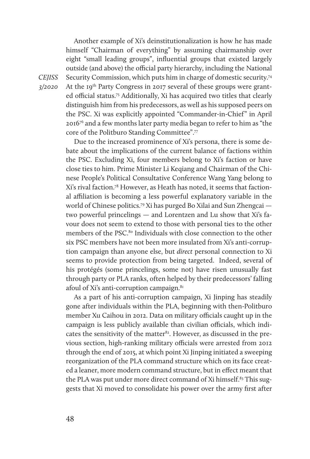Another example of Xi's deinstitutionalization is how he has made himself "Chairman of everything" by assuming chairmanship over eight "small leading groups", influential groups that existed largely outside (and above) the official party hierarchy, including the National Security Commission, which puts him in charge of domestic security.74 At the 19<sup>th</sup> Party Congress in 2017 several of these groups were granted official status.75 Additionally, Xi has acquired two titles that clearly distinguish him from his predecessors, as well as his supposed peers on the PSC. Xi was explicitly appointed "Commander-in-Chief" in April 201676 and a few months later party media began to refer to him as "the core of the Politburo Standing Committee".77

Due to the increased prominence of Xi's persona, there is some debate about the implications of the current balance of factions within the PSC. Excluding Xi, four members belong to Xi's faction or have close ties to him. Prime Minister Li Keqiang and Chairman of the Chinese People's Political Consultative Conference Wang Yang belong to Xi's rival faction.78 However, as Heath has noted, it seems that factional affiliation is becoming a less powerful explanatory variable in the world of Chinese politics.<sup>79</sup> Xi has purged Bo Xilai and Sun Zhengcai two powerful princelings — and Lorentzen and Lu show that Xi's favour does not seem to extend to those with personal ties to the other members of the PSC.<sup>80</sup> Individuals with close connection to the other six PSC members have not been more insulated from Xi's anti-corruption campaign than anyone else, but *direct* personal connection to Xi seems to provide protection from being targeted. Indeed, several of his protégés (some princelings, some not) have risen unusually fast through party or PLA ranks, often helped by their predecessors' falling afoul of Xi's anti-corruption campaign. $81$ 

As a part of his anti-corruption campaign, Xi Jinping has steadily gone after individuals within the PLA, beginning with then-Politburo member Xu Caihou in 2012. Data on military officials caught up in the campaign is less publicly available than civilian officials, which indicates the sensitivity of the matter<sup>82</sup>. However, as discussed in the previous section, high-ranking military officials were arrested from 2012 through the end of 2015, at which point Xi Jinping initiated a sweeping reorganization of the PLA command structure which on its face created a leaner, more modern command structure, but in effect meant that the PLA was put under more direct command of Xi himself.<sup>83</sup> This suggests that Xi moved to consolidate his power over the army first after

*CEJISS 3/2020*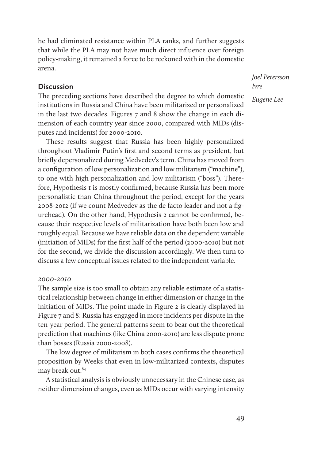he had eliminated resistance within PLA ranks, and further suggests that while the PLA may not have much direct influence over foreign policy-making, it remained a force to be reckoned with in the domestic arena.

# **Discussion**

The preceding sections have described the degree to which domestic institutions in Russia and China have been militarized or personalized in the last two decades. Figures 7 and 8 show the change in each dimension of each country year since 2000, compared with MIDs (disputes and incidents) for 2000-2010.

These results suggest that Russia has been highly personalized throughout Vladimir Putin's first and second terms as president, but briefly depersonalized during Medvedev's term. China has moved from a configuration of low personalization and low militarism ("machine"), to one with high personalization and low militarism ("boss"). Therefore, Hypothesis 1 is mostly confirmed, because Russia has been more personalistic than China throughout the period, except for the years 2008-2012 (if we count Medvedev as the de facto leader and not a figurehead). On the other hand, Hypothesis 2 cannot be confirmed, because their respective levels of militarization have both been low and roughly equal. Because we have reliable data on the dependent variable (initiation of MIDs) for the first half of the period (2000-2010) but not for the second, we divide the discussion accordingly. We then turn to discuss a few conceptual issues related to the independent variable.

#### *2000-2010*

The sample size is too small to obtain any reliable estimate of a statistical relationship between change in either dimension or change in the initiation of MIDs. The point made in Figure 2 is clearly displayed in Figure 7 and 8: Russia has engaged in more incidents per dispute in the ten-year period. The general patterns seem to bear out the theoretical prediction that machines (like China 2000-2010) are less dispute prone than bosses (Russia 2000-2008).

The low degree of militarism in both cases confirms the theoretical proposition by Weeks that even in low-militarized contexts, disputes may break out.84

A statistical analysis is obviously unnecessary in the Chinese case, as neither dimension changes, even as MIDs occur with varying intensity *Joel Petersson Ivre Eugene Lee*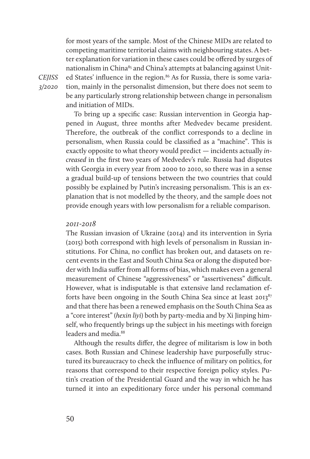for most years of the sample. Most of the Chinese MIDs are related to competing maritime territorial claims with neighbouring states. A better explanation for variation in these cases could be offered by surges of nationalism in China<sup>85</sup> and China's attempts at balancing against United States' influence in the region.<sup>86</sup> As for Russia, there is some variation, mainly in the personalist dimension, but there does not seem to be any particularly strong relationship between change in personalism and initiation of MIDs.

To bring up a specific case: Russian intervention in Georgia happened in August, three months after Medvedev became president. Therefore, the outbreak of the conflict corresponds to a decline in personalism, when Russia could be classified as a "machine". This is exactly opposite to what theory would predict — incidents actually *increased* in the first two years of Medvedev's rule. Russia had disputes with Georgia in every year from 2000 to 2010, so there was in a sense a gradual build-up of tensions between the two countries that could possibly be explained by Putin's increasing personalism. This is an explanation that is not modelled by the theory, and the sample does not provide enough years with low personalism for a reliable comparison.

#### *2011-2018*

The Russian invasion of Ukraine (2014) and its intervention in Syria (2015) both correspond with high levels of personalism in Russian institutions. For China, no conflict has broken out, and datasets on recent events in the East and South China Sea or along the disputed border with India suffer from all forms of bias, which makes even a general measurement of Chinese "aggressiveness" or "assertiveness" difficult. However, what is indisputable is that extensive land reclamation efforts have been ongoing in the South China Sea since at least  $2013^{87}$ and that there has been a renewed emphasis on the South China Sea as a "core interest" (*hexin liyi*) both by party-media and by Xi Jinping himself, who frequently brings up the subject in his meetings with foreign leaders and media.<sup>88</sup>

Although the results differ, the degree of militarism is low in both cases. Both Russian and Chinese leadership have purposefully structured its bureaucracy to check the influence of military on politics, for reasons that correspond to their respective foreign policy styles. Putin's creation of the Presidential Guard and the way in which he has turned it into an expeditionary force under his personal command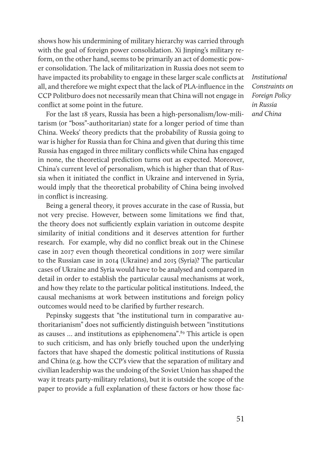shows how his undermining of military hierarchy was carried through with the goal of foreign power consolidation. Xi Jinping's military reform, on the other hand, seems to be primarily an act of domestic power consolidation. The lack of militarization in Russia does not seem to have impacted its probability to engage in these larger scale conflicts at all, and therefore we might expect that the lack of PLA-influence in the CCP Politburo does not necessarily mean that China will not engage in conflict at some point in the future.

For the last 18 years, Russia has been a high-personalism/low-militarism (or "boss"-authoritarian) state for a longer period of time than China. Weeks' theory predicts that the probability of Russia going to war is higher for Russia than for China and given that during this time Russia has engaged in three military conflicts while China has engaged in none, the theoretical prediction turns out as expected. Moreover, China's current level of personalism, which is higher than that of Russia when it initiated the conflict in Ukraine and intervened in Syria, would imply that the theoretical probability of China being involved in conflict is increasing.

Being a general theory, it proves accurate in the case of Russia, but not very precise. However, between some limitations we find that, the theory does not sufficiently explain variation in outcome despite similarity of initial conditions and it deserves attention for further research. For example, why did no conflict break out in the Chinese case in 2017 even though theoretical conditions in 2017 were similar to the Russian case in 2014 (Ukraine) and 2015 (Syria)? The particular cases of Ukraine and Syria would have to be analysed and compared in detail in order to establish the particular causal mechanisms at work, and how they relate to the particular political institutions. Indeed, the causal mechanisms at work between institutions and foreign policy outcomes would need to be clarified by further research.

Pepinsky suggests that "the institutional turn in comparative authoritarianism" does not sufficiently distinguish between "institutions as causes  $\ldots$  and institutions as epiphenomena".<sup>89</sup> This article is open to such criticism, and has only briefly touched upon the underlying factors that have shaped the domestic political institutions of Russia and China (e.g. how the CCP's view that the separation of military and civilian leadership was the undoing of the Soviet Union has shaped the way it treats party-military relations), but it is outside the scope of the paper to provide a full explanation of these factors or how those fac*Institutional Constraints on Foreign Policy in Russia and China*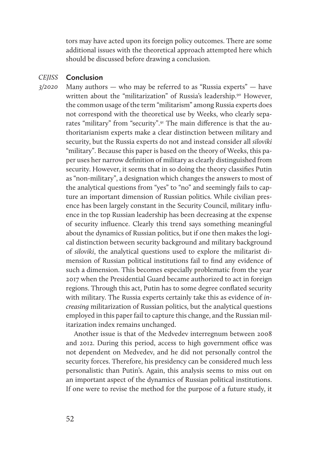tors may have acted upon its foreign policy outcomes. There are some additional issues with the theoretical approach attempted here which should be discussed before drawing a conclusion.

#### *CEJISS*  **Conclusion**

*3/2020* 

Many authors  $-$  who may be referred to as "Russia experts"  $-$  have written about the "militarization" of Russia's leadership.<sup>90</sup> However, the common usage of the term "militarism" among Russia experts does not correspond with the theoretical use by Weeks, who clearly separates "military" from "security".91 The main difference is that the authoritarianism experts make a clear distinction between military and security, but the Russia experts do not and instead consider all *siloviki* "military". Because this paper is based on the theory of Weeks, this paper uses her narrow definition of military as clearly distinguished from security. However, it seems that in so doing the theory classifies Putin as "non-military", a designation which changes the answers to most of the analytical questions from "yes" to "no" and seemingly fails to capture an important dimension of Russian politics. While civilian presence has been largely constant in the Security Council, military influence in the top Russian leadership has been decreasing at the expense of security influence. Clearly this trend says something meaningful about the dynamics of Russian politics, but if one then makes the logical distinction between security background and military background of *siloviki*, the analytical questions used to explore the militarist dimension of Russian political institutions fail to find any evidence of such a dimension. This becomes especially problematic from the year 2017 when the Presidential Guard became authorized to act in foreign regions. Through this act, Putin has to some degree conflated security with military. The Russia experts certainly take this as evidence of *increasing* militarization of Russian politics, but the analytical questions employed in this paper fail to capture this change, and the Russian militarization index remains unchanged.

Another issue is that of the Medvedev interregnum between 2008 and 2012. During this period, access to high government office was not dependent on Medvedev, and he did not personally control the security forces. Therefore, his presidency can be considered much less personalistic than Putin's. Again, this analysis seems to miss out on an important aspect of the dynamics of Russian political institutions. If one were to revise the method for the purpose of a future study, it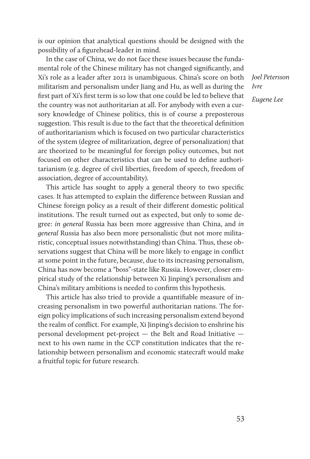is our opinion that analytical questions should be designed with the possibility of a figurehead-leader in mind.

In the case of China, we do not face these issues because the fundamental role of the Chinese military has not changed significantly, and Xi's role as a leader after 2012 is unambiguous. China's score on both militarism and personalism under Jiang and Hu, as well as during the first part of Xi's first term is so low that one could be led to believe that the country was not authoritarian at all. For anybody with even a cursory knowledge of Chinese politics, this is of course a preposterous suggestion. This result is due to the fact that the theoretical definition of authoritarianism which is focused on two particular characteristics of the system (degree of militarization, degree of personalization) that are theorized to be meaningful for foreign policy outcomes, but not focused on other characteristics that can be used to define authoritarianism (e.g. degree of civil liberties, freedom of speech, freedom of association, degree of accountability).

This article has sought to apply a general theory to two specific cases. It has attempted to explain the difference between Russian and Chinese foreign policy as a result of their different domestic political institutions. The result turned out as expected, but only to some degree: *in general* Russia has been more aggressive than China, and *in general* Russia has also been more personalistic (but not more militaristic, conceptual issues notwithstanding) than China. Thus, these observations suggest that China will be more likely to engage in conflict at some point in the future, because, due to its increasing personalism, China has now become a "boss"-state like Russia. However, closer empirical study of the relationship between Xi Jinping's personalism and China's military ambitions is needed to confirm this hypothesis.

This article has also tried to provide a quantifiable measure of increasing personalism in two powerful authoritarian nations. The foreign policy implications of such increasing personalism extend beyond the realm of conflict. For example, Xi Jinping's decision to enshrine his personal development pet-project — the Belt and Road Initiative next to his own name in the CCP constitution indicates that the relationship between personalism and economic statecraft would make a fruitful topic for future research.

*Joel Petersson Ivre Eugene Lee*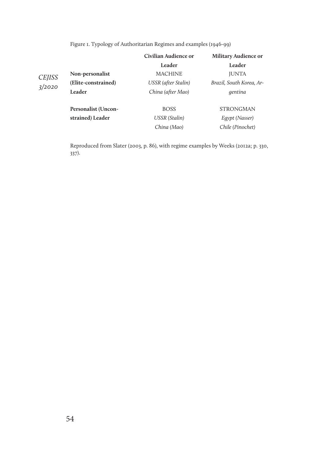|                         |                     | Civilian Audience or       | <b>Military Audience or</b> |  |
|-------------------------|---------------------|----------------------------|-----------------------------|--|
|                         |                     | Leader                     | Leader                      |  |
| <b>CEJISS</b><br>3/2020 | Non-personalist     | <b>MACHINE</b>             | <b>JUNTA</b>                |  |
|                         | (Elite-constrained) | <b>USSR</b> (after Stalin) | Brazil, South Korea, Ar-    |  |
|                         | Leader              | China (after Mao)          | gentina                     |  |
|                         | Personalist (Uncon- | <b>BOSS</b>                | <b>STRONGMAN</b>            |  |
|                         | strained) Leader    | <b>USSR</b> (Stalin)       | Egypt (Nasser)              |  |
|                         |                     | China (Mao)                | Chile (Pinochet)            |  |

Figure 1. Typology of Authoritarian Regimes and examples (1946-99)

Reproduced from Slater (2003, p. 86), with regime examples by Weeks (2012a; p. 330, 337).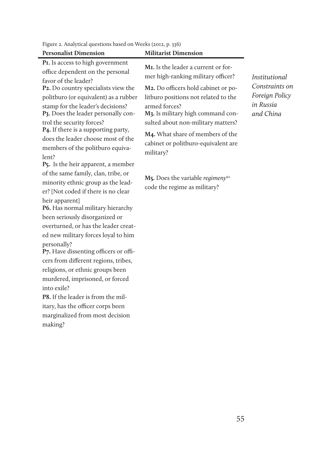| <b>Personalist Dimension</b>                                                                                                                                                                                                                                                                                                                                                                                                                                                                                                                                                                                                                                                                                                                                                                                                                                                                                                                                             | <b>Militarist Dimension</b>                                                                                                                                                                                                                                                                                                                                                                                                                               |                                                                                    |
|--------------------------------------------------------------------------------------------------------------------------------------------------------------------------------------------------------------------------------------------------------------------------------------------------------------------------------------------------------------------------------------------------------------------------------------------------------------------------------------------------------------------------------------------------------------------------------------------------------------------------------------------------------------------------------------------------------------------------------------------------------------------------------------------------------------------------------------------------------------------------------------------------------------------------------------------------------------------------|-----------------------------------------------------------------------------------------------------------------------------------------------------------------------------------------------------------------------------------------------------------------------------------------------------------------------------------------------------------------------------------------------------------------------------------------------------------|------------------------------------------------------------------------------------|
| PI. Is access to high government<br>office dependent on the personal<br>favor of the leader?<br>P <sub>2</sub> . Do country specialists view the<br>politburo (or equivalent) as a rubber<br>stamp for the leader's decisions?<br>P3. Does the leader personally con-<br>trol the security forces?<br><b>P4.</b> If there is a supporting party,<br>does the leader choose most of the<br>members of the politburo equiva-<br>lent?<br>P <sub>5</sub> . Is the heir apparent, a member<br>of the same family, clan, tribe, or<br>minority ethnic group as the lead-<br>er? [Not coded if there is no clear<br>heir apparent]<br>P6. Has normal military hierarchy<br>been seriously disorganized or<br>overturned, or has the leader creat-<br>ed new military forces loyal to him<br>personally?<br>P7. Have dissenting officers or offi-<br>cers from different regions, tribes,<br>religions, or ethnic groups been<br>murdered, imprisoned, or forced<br>into exile? | M <sub>I</sub> . Is the leader a current or for-<br>mer high-ranking military officer?<br>M2. Do officers hold cabinet or po-<br>litburo positions not related to the<br>armed forces?<br>M3. Is military high command con-<br>sulted about non-military matters?<br>M <sub>4</sub> . What share of members of the<br>cabinet or politburo-equivalent are<br>military?<br>$M5$ . Does the variable regimeny <sup>92</sup><br>code the regime as military? | <i>Institutional</i><br>Constraints on<br>Foreign Policy<br>in Russia<br>and China |
| <b>P8.</b> If the leader is from the mil-<br>itary, has the officer corps been<br>marginalized from most decision<br>making?                                                                                                                                                                                                                                                                                                                                                                                                                                                                                                                                                                                                                                                                                                                                                                                                                                             |                                                                                                                                                                                                                                                                                                                                                                                                                                                           |                                                                                    |
|                                                                                                                                                                                                                                                                                                                                                                                                                                                                                                                                                                                                                                                                                                                                                                                                                                                                                                                                                                          |                                                                                                                                                                                                                                                                                                                                                                                                                                                           |                                                                                    |

Figure 2. Analytical questions based on Weeks (2012, p. 336)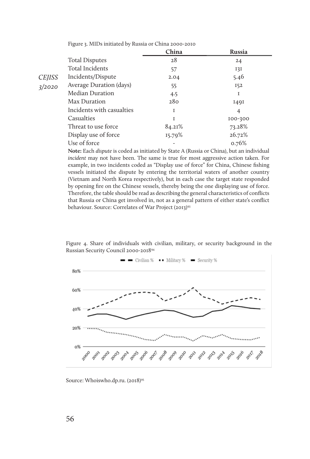|               |                           | China  | <b>Russia</b> |
|---------------|---------------------------|--------|---------------|
|               | <b>Total Disputes</b>     | 28     | 24            |
|               | Total Incidents           | 57     | I3I           |
| <b>CEJISS</b> | Incidents/Dispute         | 2.04   | 5.46          |
| 3/2020        | Average Duration (days)   | 55     | I52           |
|               | Median Duration           | 4.5    | I             |
|               | Max Duration              | 280    | <b>1491</b>   |
|               | Incidents with casualties | 1      | 4             |
|               | Casualties                | Ī      | 100-300       |
|               | Threat to use force       | 84.21% | 73.28%        |
|               | Display use of force      | 15.79% | 26.72%        |
|               | Use of force              |        | 0.76%         |

Figure 3. MIDs initiated by Russia or China 2000-2010

**Note:** Each *dispute* is coded as initiated by State A (Russia or China), but an individual *incident* may not have been. The same is true for most aggressive action taken. For example, in two incidents coded as "Display use of force" for China, Chinese fishing vessels initiated the dispute by entering the territorial waters of another country (Vietnam and North Korea respectively), but in each case the target state responded by opening fire on the Chinese vessels, thereby being the one displaying use of force. Therefore, the table should be read as describing the general characteristics of conflicts that Russia or China get involved in, not as a general pattern of either state's conflict behaviour. Source: Correlates of War Project (2013)<sup>93</sup>

Figure 4. Share of individuals with civilian, military, or security background in the Russian Security Council 2000-201894



Source: Whoiswho.dp.ru. (2018)95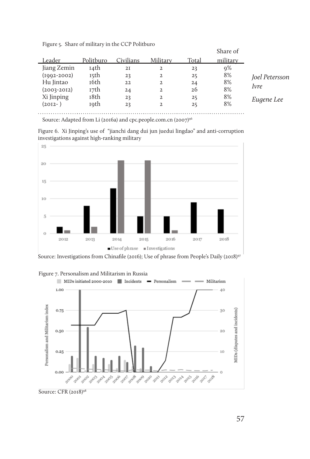|  |  |  |  |  | Figure 5. Share of military in the CCP Politburo |
|--|--|--|--|--|--------------------------------------------------|
|--|--|--|--|--|--------------------------------------------------|

|                 |           |           |          |       | Share of |                |
|-----------------|-----------|-----------|----------|-------|----------|----------------|
| Leader          | Politburo | Civilians | Military | Total | military |                |
| Jiang Zemin     | 14th      | 2I        | 2        | 23    | 9%       |                |
| $(1002 - 2002)$ | 15th      | 23        | 2        | 25    | 8%       | Joel Petersson |
| Hu lintao       | 16th      | 22        | 2        | 24    | 8%       |                |
| $(2003 - 2012)$ | 17th      | 24        | 2        | 26    | 8%       | <i>lvre</i>    |
| Xi Jinping      | 18th      | 23        | 2        | 25    | 8%       | Eugene Lee     |
| $(2012 - )$     | 19th      | 23        | 2        | 25    | 8%       |                |
|                 |           |           |          |       |          |                |

Source: Adapted from Li (2016a) and cpc.people.com.cn (2007)<sup>96</sup>

Figure 6. Xi Jinping's use of "jianchi dang dui jun juedui lingdao" and anti-corruption investigations against high-ranking military



Source: Investigations from Chinafile (2016); Use of phrase from People's Daily (2018)<sup>97</sup>



Figure 7. Personalism and Militarism in Russia

Source: CFR (2018)<sup>98</sup>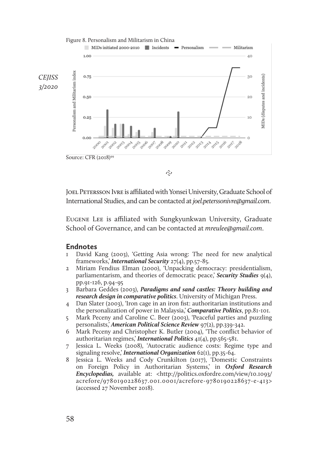

ನಿ

JOEL PETERSSON IVRE is affiliated with Yonsei University, Graduate School of International Studies, and can be contacted at *joel.peterssonivre@gmail.com*.

Eugene Lee is affiliated with Sungkyunkwan University, Graduate School of Governance, and can be contacted at *mreulee@gmail.com*.

### **Endnotes**

- 1 David Kang (2003), 'Getting Asia wrong: The need for new analytical frameworks,' *International Security* 27(4), pp.57-85.
- 2 Miriam Fendius Elman (2000), 'Unpacking democracy: presidentialism, parliamentarism, and theories of democratic peace,' *Security Studies* 9(4), pp.91-126, p.94-95
- 3 Barbara Geddes (2003), *Paradigms and sand castles: Theory building and research design in comparative politics*. University of Michigan Press.
- 4 Dan Slater (2003), 'Iron cage in an iron fist: authoritarian institutions and the personalization of power in Malaysia,' *Comparative Politics*, pp.81-101.
- 5 Mark Peceny and Caroline C. Beer (2003), 'Peaceful parties and puzzling personalists,' *American Political Science Review* 97(2), pp.339-342.
- 6 Mark Peceny and Christopher K. Butler (2004), 'The conflict behavior of authoritarian regimes,' *International Politics* 41(4), pp.565-581.
- 7 Jessica L. Weeks (2008), 'Autocratic audience costs: Regime type and signaling resolve,' *International Organization* 62(1), pp.35-64.
- 8 Jessica L. Weeks and Cody Crunkilton (2017), 'Domestic Constraints on Foreign Policy in Authoritarian Systems,' in *Oxford Research Encyclopedias,* available at: <http://politics.oxfordre.com/view/10.1093/ acrefore/9780190228637.001.0001/acrefore-9780190228637-e-413> (accessed 27 November 2018).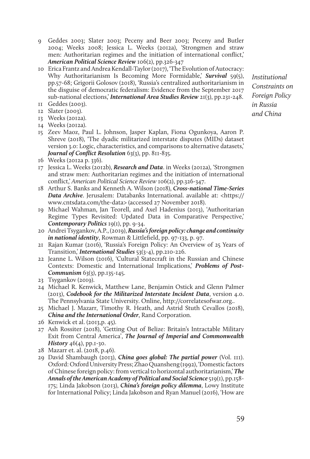- 9 Geddes 2003; Slater 2003; Peceny and Beer 2003; Peceny and Butler 2004; Weeks 2008; Jessica L. Weeks (2012a), 'Strongmen and straw men: Authoritarian regimes and the initiation of international conflict,' *American Political Science Review* 106(2), pp.326-347
- 10 Erica Frantz and Andrea Kendall-Taylor (2017), 'The Evolution of Autocracy: Why Authoritarianism Is Becoming More Formidable,' **Survival** 59(5), pp.57-68; Grigorii Golosov (2018), 'Russia's centralized authoritarianism in the disguise of democratic federalism: Evidence from the September 2017 sub-national elections,' *International Area Studies Review* 21(3), pp.231-248. 11 Geddes (2003).
- 
- 12 Slater (2003).
- 13 Weeks (2012a).
- 14 Weeks (2012a).
- 15 Zeev Maoz, Paul L. Johnson, Jasper Kaplan, Fiona Ogunkoya, Aaron P. Shreve (2018), 'The dyadic militarized interstate disputes (MIDs) dataset version 3.0: Logic, characteristics, and comparisons to alternative datasets,' *Journal of Conflict Resolution* 63(3), pp. 811-835.
- 16 Weeks (2012a p. 336).
- 17 Jessica L. Weeks (2012b), *Research and Data*. in Weeks (2012a), 'Strongmen and straw men: Authoritarian regimes and the initiation of international conflict,' *American Political Science Review* 106(2), pp.326-347.
- 18 Arthur S. Banks and Kenneth A. Wilson (2018), *Cross-national Time-Series Data Archive*. Jerusalem: Databanks International. available at: <https:// www.cntsdata.com/the-data> (accessed 27 November 2018).
- 19 Michael Wahman, Jan Teorell, and Axel Hadenius (2013), 'Authoritarian Regime Types Revisited: Updated Data in Comparative Perspective,' *Contemporary Politics* 19(1), pp. 9-34.
- 20 Andrei Tsygankov, A.P., (2019), *Russia's foreign policy: change and continuity in national identity*, Rowman & Littlefield, pp. 97-133, p. 97.
- 21 Rajan Kumar (2016), 'Russia's Foreign Policy: An Overview of 25 Years of Transition,' *International Studies* 53(3-4), pp.210-226.
- 22 Jeanne L. Wilson (2016), 'Cultural Statecraft in the Russian and Chinese Contexts: Domestic and International Implications,' *Problems of Post-Communism* 63(3), pp.135-145.
- 23 Tsygankov (2019).
- 24 Michael R. Kenwick, Matthew Lane, Benjamin Ostick and Glenn Palmer (2013), *Codebook for the Militarized Interstate Incident Data*, version 4.0. The Pennsylvania State University. Online, http://correlatesofwar.org..
- 25 Michael J. Mazarr, Timothy R. Heath, and Astrid Stuth Cevallos (2018), *China and the International Order*, Rand Corporation.
- 26 Kenwick et al. (2013,p. 45).
- 27 Ash Rossiter (2018), 'Getting Out of Belize: Britain's Intractable Military Exit from Central America', *The Journal of Imperial and Commonwealth History* 46(4), pp.1-30.
- 28 Mazarr et. al. (2018, p.46).
- 29 David Shambaugh (2013), *China goes global: The partial power* (Vol. 111). Oxford: Oxford University Press; Zhao Quansheng (1992), 'Domestic factors of Chinese foreign policy: from vertical to horizontal authoritarianism,' *The Annals of the American Academy of Political and Social Science* 519(1), pp.158- 175; Linda Jakobson (2013), *China's foreign policy dilemma*, Lowy Institute for International Policy; Linda Jakobson and Ryan Manuel (2016), 'How are

*Institutional Constraints on Foreian Policy in Russia and China*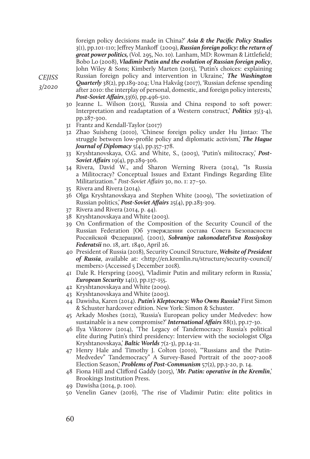foreign policy decisions made in China?' *Asia & the Pacific Policy Studies* 3(1), pp.101-110; Jeffrey Mankoff (2009), *Russian foreign policy: the return of great power politics,* (Vol. 295, No. 10). Lanham, MD: Rowman & Littlefield; Bobo Lo (2008), *Vladimir Putin and the evolution of Russian foreign policy*, John Wiley & Sons; Kimberly Marten (2015), 'Putin's choices: explaining Russian foreign policy and intervention in Ukraine,' *The Washington* 

*CEJISS* 

*3/2020* 

- *Quarterly* 38(2), pp.189-204; Una Hakvåg (2017), 'Russian defense spending after 2010: the interplay of personal, domestic, and foreign policy interests,' *Post-Soviet Affairs*,33(6), pp.496-510.
- 30 Jeanne L. Wilson (2015), 'Russia and China respond to soft power: Interpretation and readaptation of a Western construct,' *Politics* 35(3-4), pp.287-300.
- 31 Frantz and Kendall-Taylor (2017)
- 32 Zhao Suisheng (2010), 'Chinese foreign policy under Hu Jintao: The struggle between low-profile policy and diplomatic activism,' *The Hague Journal of Diplomacy* 5(4), pp.357-378.
- 33 Kryshtanovskaya, O.G. and White, S., (2003), 'Putin's militocracy,' *Post-Soviet Affairs* 19(4), pp.289-306.
- 34 Rivera, David W., and Sharon Werning Rivera (2014), "Is Russia a Militocracy? Conceptual Issues and Extant Findings Regarding Elite Militarization." *Post-Soviet Affairs* 30, no. 1: 27–50.
- 35 Rivera and Rivera (2014).
- 36 Olga Kryshtanovskaya and Stephen White (2009), 'The sovietization of Russian politics,' *Post-Soviet Affairs* 25(4), pp.283-309.
- 37 Rivera and Rivera (2014, p. 44).
- 38 Kryshtanovskaya and White (2003).
- 39 On Confirmation of the Composition of the Security Council of the Russian Federation [Об утверждении состава Совета Безопасности Российской Федерации]. (2001), *Sobraniye zakonodatel'stva Rossiyskoy Federatsii* no. 18, art. 1840, April 26.
- 40 President of Russia (2018), Security Council Structure, *Website of President of Russia*, available at: <http://en.kremlin.ru/structure/security-council/ members> (Accessed 5 December 2018).
- 41 Dale R. Herspring (2005), 'Vladimir Putin and military reform in Russia,' *European Security* 14(1), pp.137-155.
- 42 Kryshtanovskaya and White (2009).
- 43 Kryshtanovskaya and White (2003).
- 44 Dawisha, Karen (2014). *Putin's Kleptocracy: Who Owns Russia?* First Simon & Schuster hardcover edition. New York: Simon & Schuster.
- 45 Arkady Moshes (2012), 'Russia's European policy under Medvedev: how sustainable is a new compromise?' *International Affairs* 88(1), pp.17-30.
- 46 Ilya Viktorov (2014), 'The Legacy of Tandemocracy: Russia's political elite during Putin's third presidency: Interview with the sociologist Olga Kryshtanovskaya,' *Baltic Worlds* 7(2-3), pp.14-21.
- 47 Henry Hale and Timothy J. Colton (2010), '"Russians and the Putin-Medvedev" Tandemocracy" A Survey-Based Portrait of the 2007-2008 Election Season,' *Problems of Post-Communism* 57(2), pp.3-20, p. 14.
- 48 Fiona Hill and Clifford Gaddy (2015), '*Mr. Putin: operative in the Kremlin*,' Brookings Institution Press.
- 49 Dawisha (2014, p. 100).
- 50 Venelin Ganev (2016), 'The rise of Vladimir Putin: elite politics in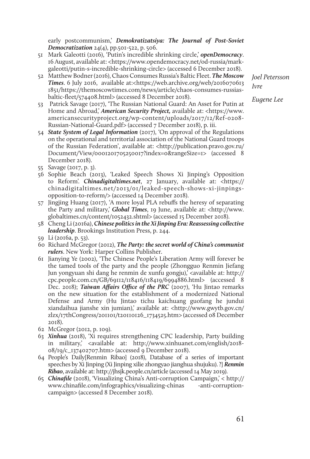early postcommunism,' *Demokratizatsiya: The Journal of Post-Soviet Democratization* 24(4), pp.501-522, p. 506.

- 51 Mark Galeotti (2016), 'Putin's incredible shrinking circle,' *openDemocracy*. 16 August, available at: <https://www.opendemocracy.net/od-russia/markgaleotti/putin-s-incredible-shrinking-circle> (accessed 6 December 2018).
- 52 Matthew Bodner (2016), Chaos Consumes Russia's Baltic Fleet. *The Moscow Times*. 6 July 2016, available at:<https://web.archive.org/web/2016070613 1851/https://themoscowtimes.com/news/article/chaos-consumes-russiasbaltic-fleet/574408.html> (accessed 8 December 2018).
- 53 Patrick Savage (2017), 'The Russian National Guard: An Asset for Putin at Home and Abroad,' *American Security Project*, available at: <https://www. americansecurityproject.org/wp-content/uploads/2017/12/Ref-0208- Russian-National-Guard.pdf> (accessed 7 December 2018), p. iii.
- 54 *State System of Legal Information* (2017), 'On approval of the Regulations on the operational and territorial association of the National Guard troops of the Russian Federation', available at: <http://publication.pravo.gov.ru/ Document/View/0001201705250017?index=0&rangeSize=1> (accessed 8 December 2018).
- 55 Savage (2017, p. 3).
- 56 Sophie Beach (2013), 'Leaked Speech Shows Xi Jinping's Opposition to Reform'. *Chinadigitaltimes.net*, 27 January, available at: <https:// chinadigitaltimes.net/2013/01/leaked-speech-shows-xi-jinpingsopposition-to-reform/> (accessed 14 December 2018).
- 57 Jingjing Huang (2017), 'A more loyal PLA rebuffs the heresy of separating the Party and military,' *Global Times*, 19 June, available at: <http://www. globaltimes.cn/content/1052432.shtml> (accessed 15 December 2018).
- 58 Cheng Li (2016a), *Chinese politics in the Xi Jinping Era: Reassessing collective leadership*. Brookings Institution Press, p. 244.
- 59 Li (2016a, p. 53).
- 60 Richard McGregor (2012), *The Party: the secret world of China's communist rulers*. New York: Harper Collins Publisher.
- 61 Jianying Ye (2002), 'The Chinese People's Liberation Army will forever be the tamed tools of the party and the people (Zhongguo Renmin Jiefang Jun yongyuan shi dang he renmin de xunfu gongju),' <available at: http:// cpc.people.com.cn/GB/69112/118416/118419/6994886.html> (accessed 8 Dec. 2018); *Taiwan Affairs Office of the PRC* (2007), 'Hu Jintao remarks on the new situation for the establishment of a modernized National Defense and Army (Hu Jintao tichu kaichuang guofang he jundui xiandaihua jianshe xin jumian),' available at: <http://www.gwytb.gov.cn/ zlzx/17thCongress/201101/t20110126\_1734525.htm> (accessed 08 December 2018).
- 62 McGregor (2012, p. 109).
- 63 *Xinhua* (2018), 'Xi requires strengthening CPC leadership, Party building in military,' <available at: http://www.xinhuanet.com/english/2018- 08/19/c\_137402707.htm> (accessed 9 December 2018).
- 64 People's Daily[Renmin Ribao] (2018), Database of a series of important speeches by Xi Jinping (Xi Jinping xilie zhongyao jianghua shujuku). ?] *Renmin Ribao*, available at: http://jhsjk.people.cn/article (accessed 14 May 2019).
- 65 *Chinafile* (2018), 'Visualizing China's Anti-corruption Campaign,' < http:// www.chinafile.com/infographics/visualizing-chinas -anti-corruptioncampaign> (accessed 8 December 2018).

*Joel Petersson Ivre*

*Eugene Lee*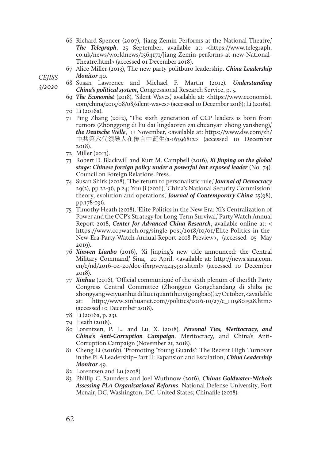66 Richard Spencer (2007), 'Jiang Zemin Performs at the National Theatre,' *The Telegraph*, 25 September, available at: <https://www.telegraph. co.uk/news/worldnews/1564171/Jiang-Zemin-performs-at-new-National-Theatre.html> (accessed 01 December 2018).

67 Alice Miller (2013), The new party politburo leadership. *China Leadership Monitor* 40.

*CEJISS* 

*3/2020* 

- 68 Susan Lawrence and Michael F. Martin (2012). *Understanding China's political system*, Congressional Research Service, p. 5.
- 69 *The Economist* (2018), 'Silent Waves,' available at: <https://www.economist. com/china/2015/08/08/silent-waves> (accessed 10 December 2018); Li (2016a). 70 Li (2016a).
- 71 Ping Zhang (2012), 'The sixth generation of CCP leaders is born from rumors (Zhonggong di liu dai lingdaoren zai chuanyan zhong yansheng),' *the Deutsche Welle*, 11 November, <available at: https://www.dw.com/zh/ 中共第六代领导人在传言中诞生/a-16396812> (accessed 10 December 2018).
- 72 Miller (2013).
- 73 Robert D. Blackwill and Kurt M. Campbell (2016), *Xi Jinping on the global stage: Chinese foreign policy under a powerful but exposed leader* (No. 74). Council on Foreign Relations Press.
- 74 Susan Shirk (2018), 'The return to personalistic rule,' *Journal of Democracy* 29(2), pp.22-36, p.24; You Ji (2016), 'China's National Security Commission: theory, evolution and operations,' *Journal of Contemporary China* 25(98), pp.178-196.
- 75 Timothy Heath (2018), 'Elite Politics in the New Era: Xi's Centralization of Power and the CCP's Strategy for Long-Term Survival,' Party Watch Annual Report 2018, *Center for Advanced China Research*, available online at: < https://www.ccpwatch.org/single-post/2018/10/01/Elite-Politics-in-the-New-Era-Party-Watch-Annual-Report-2018-Preview>, (accessed 05 May 2019).
- 76 *Xinwen Lianbo* (2016), 'Xi Jinping's new title announced: the Central Military Command,' Sina, 20 April, <available at: http://news.sina.com. cn/c/nd/2016-04-20/doc-ifxrpvcy4245331.shtml> (accessed 10 December 2018).
- 77 *Xinhua* (2016), 'Official communiqué of the sixth plenum of the18th Party Congress Central Committee (Zhongguo Gongchandang di shiba jie zhongyang weiyuanhui di liu ci quanti huiyi gongbao),' 27 October, <available at: http://www.xinhuanet.com//politics/2016-10/27/c\_1119801528.htm> (accessed 10 December 2018).
- 78 Li (2016a, p. 23).
- 79 Heath (2018).
- 80 Lorentzen, P. L., and Lu, X. (2018). *Personal Ties, Meritocracy, and China's Anti-Corruption Campaign*. Meritocracy, and China's Anti-Corruption Campaign (November 21, 2018).
- 81 Cheng Li (2016b), 'Promoting 'Young Guards': The Recent High Turnover in the PLA Leadership–Part II: Expansion and Escalation,' *China Leadership Monitor* 49.
- 82 Lorentzen and Lu (2018).
- 83 Phillip C. Saunders and Joel Wuthnow (2016), *Chinas Goldwater-Nichols Assessing PLA Organizational Reforms*. National Defense University, Fort Mcnair, DC. Washington, DC. United States; Chinafile (2018).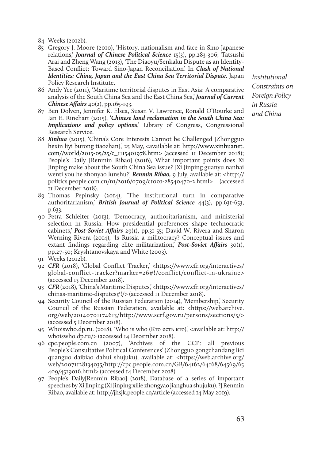84 Weeks (2012b).

- 85 Gregory J. Moore (2010), 'History, nationalism and face in Sino-Japanese relations,' *Journal of Chinese Political Science* 15(3), pp.283-306; Tatsushi Arai and Zheng Wang (2013), 'The Diaoyu/Senkaku Dispute as an Identity-Based Conflict: Toward Sino-Japan Reconciliation'. In *Clash of National Identities: China, Japan and the East China Sea Territorial Dispute*. Japan Policy Research Institute.
- 86 Andy Yee (2011), 'Maritime territorial disputes in East Asia: A comparative analysis of the South China Sea and the East China Sea,' *Journal of Current Chinese Affairs* 40(2), pp.165-193.
- 87 Ben Dolven, Jennifer K. Elsea, Susan V. Lawrence, Ronald O'Rourke and Ian E. Rinehart (2015), '*Chinese land reclamation in the South China Sea: Implications and policy options*,' Library of Congress, Congressional Research Service.
- 88 *Xinhua* (2015), 'China's Core Interests Cannot be Challenged [Zhongguo hexin liyi burong tiaozhan],' 25 May, <available at: http://www.xinhuanet. com//world/2015-05/25/c\_1115401978.htm> (accessed 11 December 2018); People's Daily [Renmin Ribao] (2016), What important points does Xi Jinping make about the South China Sea issue? [Xi Jinping guanyu nanhai wenti you he zhonyao lunshu?] *Renmin Ribao,* 9 July, available at: <http:// politics.people.com.cn/n1/2016/0709/c1001-28540470-2.html> (accessed 11 December 2018).
- 89 Thomas Pepinsky (2014), 'The institutional turn in comparative authoritarianism,' *British Journal of Political Science* 44(3), pp.631-653, p.633.
- 90 Petra Schleiter (2013), 'Democracy, authoritarianism, and ministerial selection in Russia: How presidential preferences shape technocratic cabinets,' *Post-Soviet Affairs* 29(1), pp.31-55; David W. Rivera and Sharon Werning Rivera (2014), 'Is Russia a militocracy? Conceptual issues and extant findings regarding elite militarization,' *Post-Soviet Affairs* 30(1), pp.27-50; Kryshtanovskaya and White (2003).
- 91 Weeks (2012b).
- 92 *CFR* (2018), 'Global Conflict Tracker,' <https://www.cfr.org/interactives/ global-conflict-tracker?marker=26#!/conflict/conflict-in-ukraine> (accessed 13 December 2018).
- 93 *CFR* (2018), 'China's Maritime Disputes,' <https://www.cfr.org/interactives/ chinas-maritime-disputes#!/> (accessed 11 December 2018).
- 94 Security Council of the Russian Federation (2014), 'Membership,' Security Council of the Russian Federation, available at: <https://web.archive. org/web/20140701174613/http://www.scrf.gov.ru/persons/sections/5/> (accessed 5 December 2018).
- 95 Whoiswho.dp.ru. (2018), 'Who is who (Кто есть кто),' <available at: http:// whoiswho.dp.ru/> (accessed 14 December 2018).
- 96 cpc.people.com.cn (2007), 'Archives of the CCP: all previous People's Consultative Political Conferences' (Zhongguo gongchandang lici quanguo daibiao dahui shujuku), available at: <https://web.archive.org/ web/20071128134035/http://cpc.people.com.cn/GB/64162/64168/64569/65 409/4519016.html> (accessed 14 December 2018).
- 97 People's Daily[Renmin Ribao] (2018), Database of a series of important speeches by Xi Jinping (Xi Jinping xilie zhongyao jianghua shujuku). ?] Renmin Ribao, available at: http://jhsjk.people.cn/article (accessed 14 May 2019).

*Institutional Constraints on Foreian Policy in Russia and China*